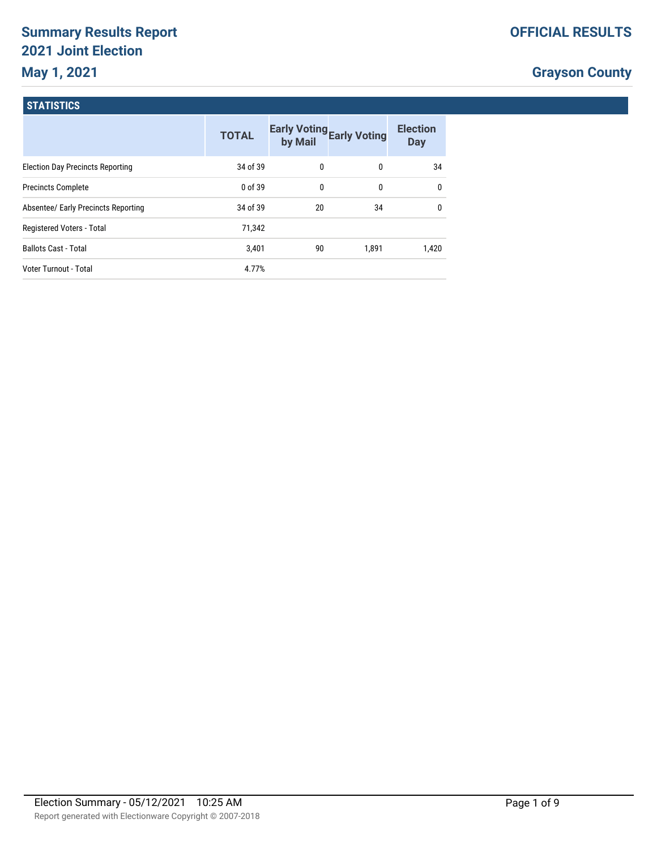# **Summary Results Report 2021 Joint Election May 1, 2021**

# **Grayson County**

#### **STATISTICS**

|                                         | <b>TOTAL</b> | by Mail | <b>Early Voting Early Voting</b> | <b>Election</b><br><b>Day</b> |
|-----------------------------------------|--------------|---------|----------------------------------|-------------------------------|
| <b>Election Day Precincts Reporting</b> | 34 of 39     | 0       | 0                                | 34                            |
| <b>Precincts Complete</b>               | 0 of 39      | 0       | 0                                | $\mathbf{0}$                  |
| Absentee/ Early Precincts Reporting     | 34 of 39     | 20      | 34                               | $\mathbf{0}$                  |
| Registered Voters - Total               | 71.342       |         |                                  |                               |
| <b>Ballots Cast - Total</b>             | 3,401        | 90      | 1.891                            | 1.420                         |
| Voter Turnout - Total                   | 4.77%        |         |                                  |                               |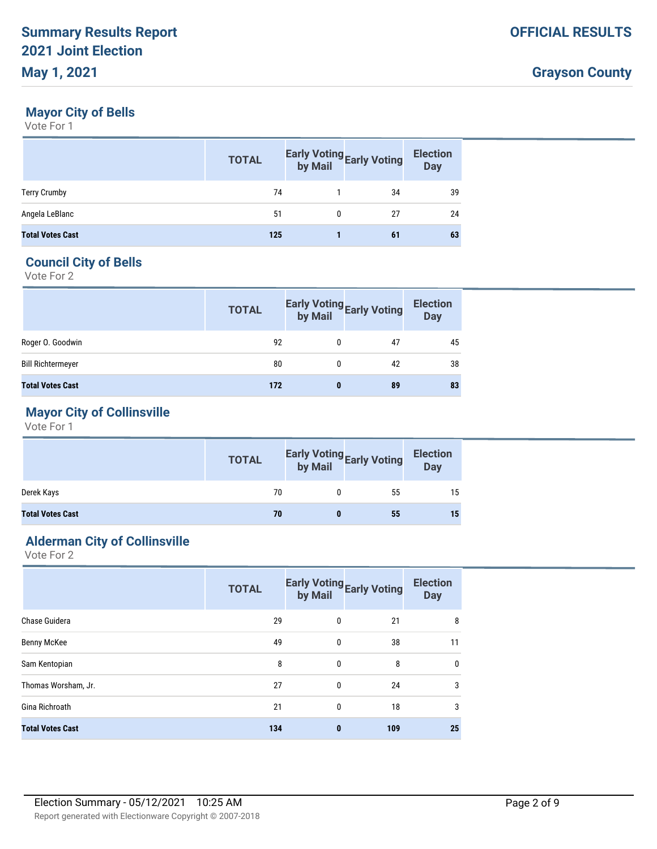#### **Mayor City of Bells**

Vote For 1

|                         | <b>TOTAL</b> | Early Voting<br>by Mail<br>by Mail | <b>Election</b><br><b>Day</b> |
|-------------------------|--------------|------------------------------------|-------------------------------|
| <b>Terry Crumby</b>     | 74           | 34                                 | 39                            |
| Angela LeBlanc          | 51           | 27                                 | 24                            |
| <b>Total Votes Cast</b> | 125          | 61                                 | 63                            |

### **Council City of Bells**

Vote For 2

|                          | <b>TOTAL</b> |   | Early Voting<br>by Mail<br>by Mail | <b>Election</b><br><b>Day</b> |
|--------------------------|--------------|---|------------------------------------|-------------------------------|
| Roger O. Goodwin         | 92           | 0 | 47                                 | 45                            |
| <b>Bill Richtermeyer</b> | 80           | 0 | 42                                 | 38                            |
| <b>Total Votes Cast</b>  | 172          | 0 | 89                                 | 83                            |

## **Mayor City of Collinsville**

Vote For 1

|                         | <b>TOTAL</b> | Early Voting<br>by Mail<br>by Mail | <b>Election</b><br><b>Day</b> |
|-------------------------|--------------|------------------------------------|-------------------------------|
| Derek Kays              | 70           | 55                                 | 15                            |
| <b>Total Votes Cast</b> | 70           | 55                                 | 15                            |

#### **Alderman City of Collinsville**

|                         | <b>TOTAL</b> | by Mail     | Early Voting Early Voting | <b>Election</b><br><b>Day</b> |
|-------------------------|--------------|-------------|---------------------------|-------------------------------|
| Chase Guidera           | 29           | 0           | 21                        | 8                             |
| Benny McKee             | 49           | 0           | 38                        | 11                            |
| Sam Kentopian           | 8            | 0           | 8                         | $\mathbf 0$                   |
| Thomas Worsham, Jr.     | 27           | $\mathbf 0$ | 24                        | 3                             |
| Gina Richroath          | 21           | 0           | 18                        | 3                             |
| <b>Total Votes Cast</b> | 134          | 0           | 109                       | 25                            |
|                         |              |             |                           |                               |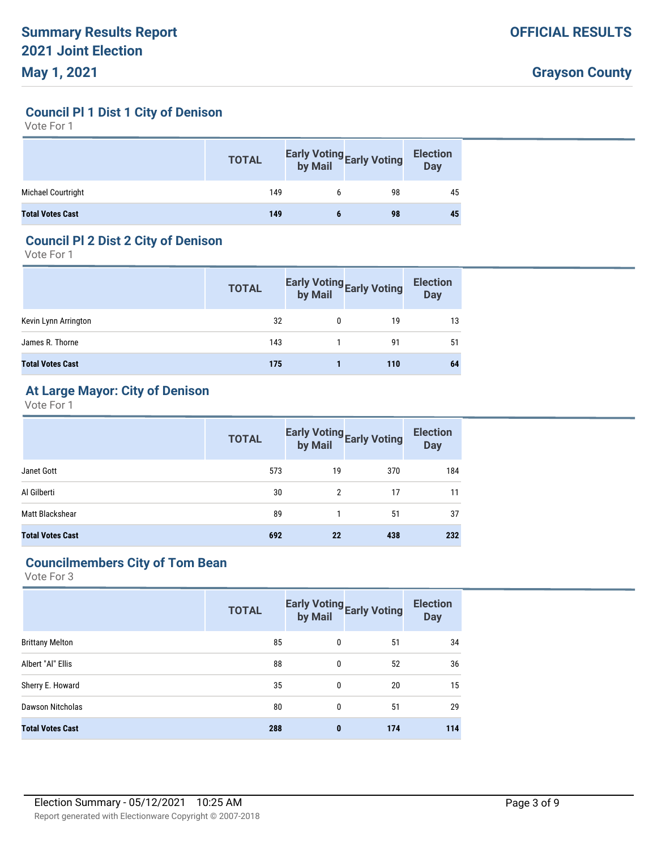**Council Pl 1 Dist 1 City of Denison**

Vote For 1

|                         | <b>TOTAL</b> | Early Voting<br>by Mail Early Voting | <b>Election</b><br>Day |
|-------------------------|--------------|--------------------------------------|------------------------|
| Michael Courtright      | 149          | 98                                   | 45                     |
| <b>Total Votes Cast</b> | 149          | 98                                   | 45                     |

# **Council Pl 2 Dist 2 City of Denison**

Vote For 1

|                         | <b>TOTAL</b> | Early Voting<br>by Mail Early Voting | <b>Election</b><br><b>Day</b> |
|-------------------------|--------------|--------------------------------------|-------------------------------|
| Kevin Lynn Arrington    | 32           | 19                                   | 13                            |
| James R. Thorne         | 143          | 91                                   | 51                            |
| <b>Total Votes Cast</b> | 175          | 110                                  | 64                            |

# **At Large Mayor: City of Denison**

Vote For 1

|                         | <b>TOTAL</b> |               | Early Voting<br>by Mail<br>by Mail | <b>Election</b><br><b>Day</b> |
|-------------------------|--------------|---------------|------------------------------------|-------------------------------|
| Janet Gott              | 573          | 19            | 370                                | 184                           |
| Al Gilberti             | 30           | $\mathcal{P}$ | 17                                 | 11                            |
| Matt Blackshear         | 89           |               | 51                                 | 37                            |
| <b>Total Votes Cast</b> | 692          | 22            | 438                                | 232                           |

## **Councilmembers City of Tom Bean**

|                         | <b>TOTAL</b> | by Mail      | <b>Early Voting Early Voting</b> | <b>Election</b><br><b>Day</b> |
|-------------------------|--------------|--------------|----------------------------------|-------------------------------|
| <b>Brittany Melton</b>  | 85           | $\mathbf{0}$ | 51                               | 34                            |
| Albert "Al" Ellis       | 88           | $\mathbf{0}$ | 52                               | 36                            |
| Sherry E. Howard        | 35           | $\mathbf{0}$ | 20                               | 15                            |
| Dawson Nitcholas        | 80           | $\Omega$     | 51                               | 29                            |
| <b>Total Votes Cast</b> | 288          | $\bf{0}$     | 174                              | 114                           |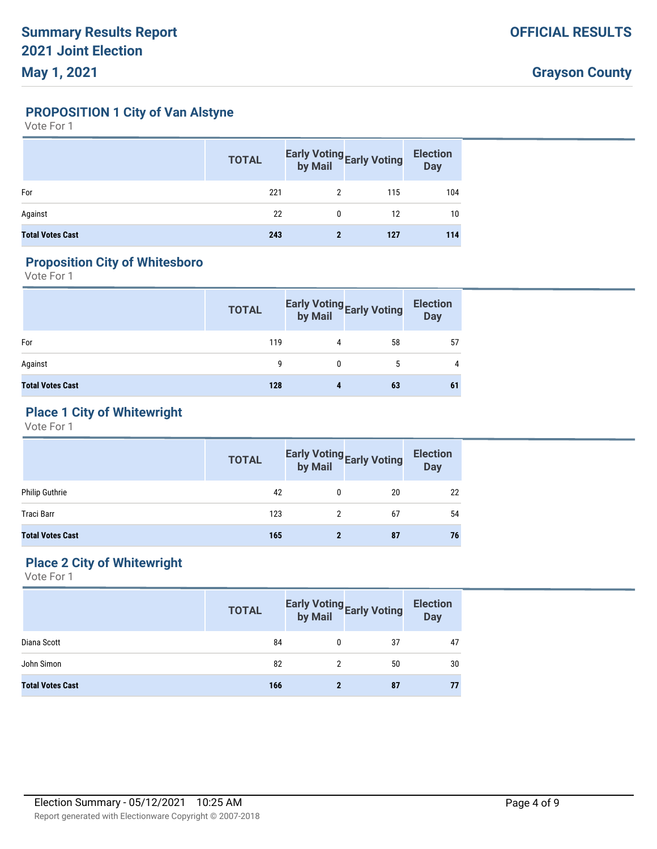**PROPOSITION 1 City of Van Alstyne**

Vote For 1

|                         | <b>TOTAL</b> |   | Early Voting<br>by Mail<br>by Mail | <b>Election</b><br><b>Day</b> |
|-------------------------|--------------|---|------------------------------------|-------------------------------|
| For                     | 221          |   | 115                                | 104                           |
| Against                 | 22           | 0 | 12                                 | 10                            |
| <b>Total Votes Cast</b> | 243          |   | 127                                | 114                           |

### **Proposition City of Whitesboro**

Vote For 1

|                         | <b>TOTAL</b> |   | Early Voting<br>by Mail<br>by Mail | <b>Election</b><br><b>Day</b> |
|-------------------------|--------------|---|------------------------------------|-------------------------------|
| For                     | 119          | 4 | 58                                 | 57                            |
| Against                 | g            | 0 | 5                                  | 4                             |
| <b>Total Votes Cast</b> | 128          | 4 | 63                                 | 61                            |

# **Place 1 City of Whitewright**

Vote For 1

|                         | <b>TOTAL</b> |   | Early Voting<br>by Mail<br>by Mail | <b>Election</b><br>Day |
|-------------------------|--------------|---|------------------------------------|------------------------|
| Philip Guthrie          | 42           | 0 | 20                                 | 22                     |
| Traci Barr              | 123          |   | 67                                 | 54                     |
| <b>Total Votes Cast</b> | 165          |   | 87                                 | 76                     |

# **Place 2 City of Whitewright**

|                         | <b>TOTAL</b> | Early Voting<br>by Mail Early Voting | <b>Election</b><br><b>Day</b> |
|-------------------------|--------------|--------------------------------------|-------------------------------|
| Diana Scott             | 84           | 37                                   | 47                            |
| John Simon              | 82           | 50                                   | 30                            |
| <b>Total Votes Cast</b> | 166          | 87                                   | 77                            |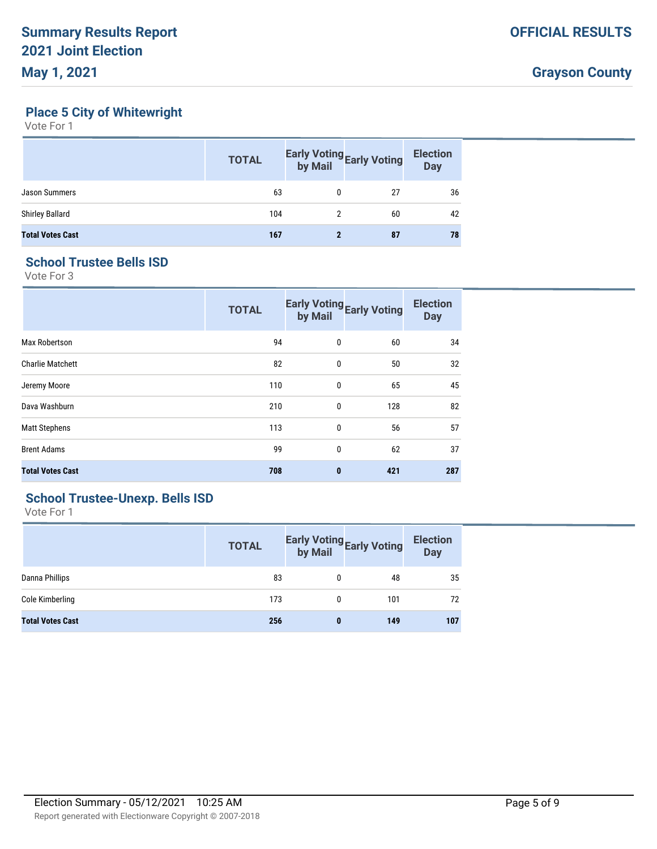# **Place 5 City of Whitewright**

Vote For 1

|                         | <b>TOTAL</b> | Early Voting<br>by Mail<br>by Mail | <b>Election</b><br><b>Day</b> |
|-------------------------|--------------|------------------------------------|-------------------------------|
| Jason Summers           | 63           | 27                                 | 36                            |
| <b>Shirley Ballard</b>  | 104          | 60                                 | 42                            |
| <b>Total Votes Cast</b> | 167          | 87                                 | 78                            |

#### **School Trustee Bells ISD**

Vote For 3

|                         | <b>TOTAL</b> | by Mail      | <b>Early Voting Early Voting</b> | <b>Election</b><br><b>Day</b> |
|-------------------------|--------------|--------------|----------------------------------|-------------------------------|
| Max Robertson           | 94           | 0            | 60                               | 34                            |
| <b>Charlie Matchett</b> | 82           | $\mathbf{0}$ | 50                               | 32                            |
| Jeremy Moore            | 110          | 0            | 65                               | 45                            |
| Dava Washburn           | 210          | 0            | 128                              | 82                            |
| <b>Matt Stephens</b>    | 113          | $\mathbf{0}$ | 56                               | 57                            |
| <b>Brent Adams</b>      | 99           | 0            | 62                               | 37                            |
| <b>Total Votes Cast</b> | 708          | $\bf{0}$     | 421                              | 287                           |

# **School Trustee-Unexp. Bells ISD**

|                         | <b>TOTAL</b> |   | Early Voting<br>by Mail<br>by Mail | <b>Election</b><br><b>Day</b> |
|-------------------------|--------------|---|------------------------------------|-------------------------------|
| Danna Phillips          | 83           | 0 | 48                                 | 35                            |
| Cole Kimberling         | 173          | O | 101                                | 72                            |
| <b>Total Votes Cast</b> | 256          | 0 | 149                                | 107                           |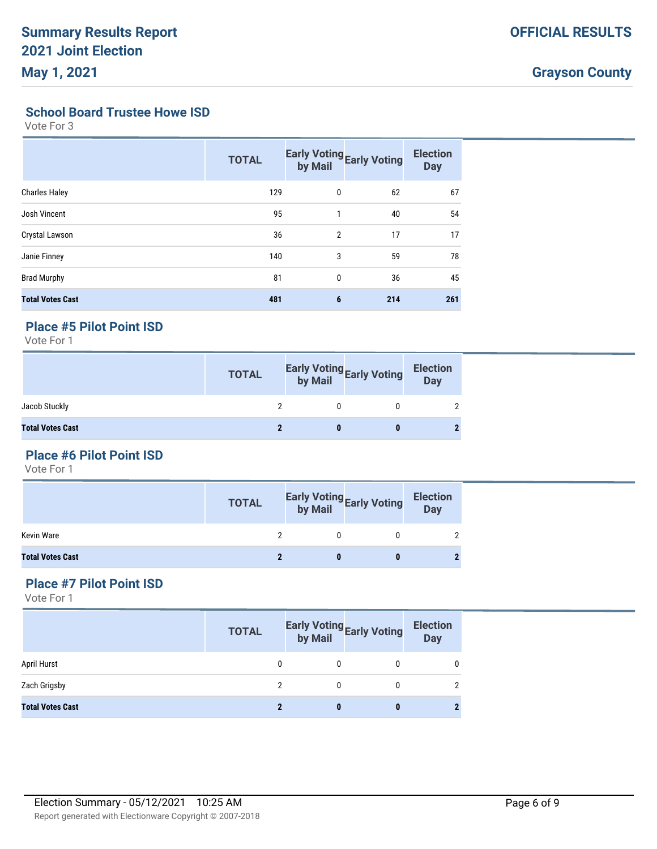#### **School Board Trustee Howe ISD**

Vote For 3

|                         | <b>TOTAL</b> | by Mail        | Early Voting Early Voting | <b>Election</b><br><b>Day</b> |
|-------------------------|--------------|----------------|---------------------------|-------------------------------|
| <b>Charles Haley</b>    | 129          | 0              | 62                        | 67                            |
| Josh Vincent            | 95           | 1              | 40                        | 54                            |
| Crystal Lawson          | 36           | $\overline{2}$ | 17                        | 17                            |
| Janie Finney            | 140          | 3              | 59                        | 78                            |
| <b>Brad Murphy</b>      | 81           | $\mathbf{0}$   | 36                        | 45                            |
| <b>Total Votes Cast</b> | 481          | 6              | 214                       | 261                           |

#### **Place #5 Pilot Point ISD**

Vote For 1

|                         | <b>TOTAL</b> | Early Voting<br>by Mail<br>by Mail | <b>Election</b><br>Day |
|-------------------------|--------------|------------------------------------|------------------------|
| Jacob Stuckly           |              |                                    |                        |
| <b>Total Votes Cast</b> |              |                                    |                        |

## **Place #6 Pilot Point ISD**

Vote For 1

|                         | <b>TOTAL</b> | Early Voting<br>by Mail<br>by Mail | <b>Election</b><br>Day |
|-------------------------|--------------|------------------------------------|------------------------|
| Kevin Ware              |              |                                    |                        |
| <b>Total Votes Cast</b> |              |                                    |                        |

#### **Place #7 Pilot Point ISD**

|                         | <b>TOTAL</b> | <b>Early Voting Early Voting by Mail</b> | <b>Election</b><br><b>Day</b> |
|-------------------------|--------------|------------------------------------------|-------------------------------|
| April Hurst             |              |                                          |                               |
| Zach Grigsby            |              |                                          |                               |
| <b>Total Votes Cast</b> |              |                                          |                               |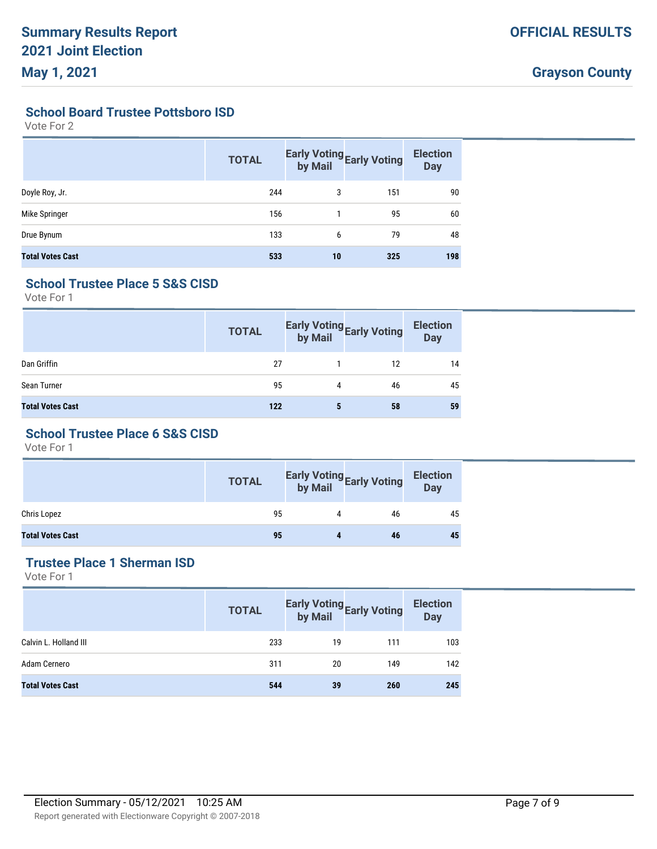**School Board Trustee Pottsboro ISD**

Vote For 2

|                         | <b>TOTAL</b> |    | Early Voting<br>by Mail<br>by Mail | <b>Election</b><br><b>Day</b> |
|-------------------------|--------------|----|------------------------------------|-------------------------------|
| Doyle Roy, Jr.          | 244          | 3  | 151                                | 90                            |
| Mike Springer           | 156          |    | 95                                 | 60                            |
| Drue Bynum              | 133          | 6  | 79                                 | 48                            |
| <b>Total Votes Cast</b> | 533          | 10 | 325                                | 198                           |

### **School Trustee Place 5 S&S CISD**

Vote For 1

|                         | <b>TOTAL</b> |   | Early Voting<br>by Mail<br>by Mail | <b>Election</b><br><b>Day</b> |
|-------------------------|--------------|---|------------------------------------|-------------------------------|
| Dan Griffin             | 27           |   | 12                                 | 14                            |
| Sean Turner             | 95           | 4 | 46                                 | 45                            |
| <b>Total Votes Cast</b> | 122          | 5 | 58                                 | 59                            |

# **School Trustee Place 6 S&S CISD**

Vote For 1

|                         | <b>TOTAL</b> | Early Voting<br>by Mail | Election<br>Day |
|-------------------------|--------------|-------------------------|-----------------|
| Chris Lopez             | 95           | 46                      | 45              |
| <b>Total Votes Cast</b> | 95           | 46                      | 45              |

# **Trustee Place 1 Sherman ISD**

|                         | <b>TOTAL</b> |    | Early Voting<br>by Mail Early Voting | <b>Election</b><br><b>Day</b> |
|-------------------------|--------------|----|--------------------------------------|-------------------------------|
| Calvin L. Holland III   | 233          | 19 | 111                                  | 103                           |
| Adam Cernero            | 311          | 20 | 149                                  | 142                           |
| <b>Total Votes Cast</b> | 544          | 39 | 260                                  | 245                           |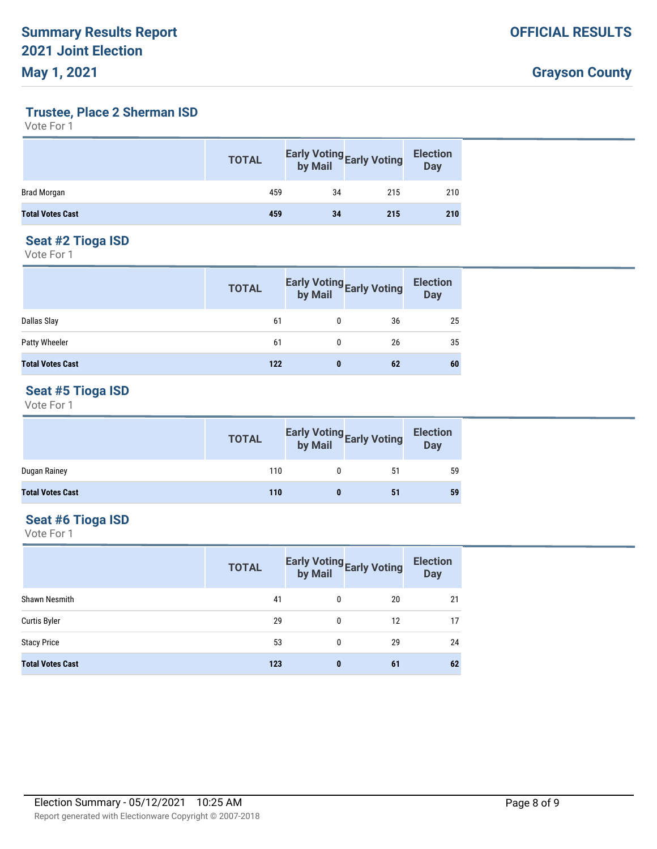# **Trustee, Place 2 Sherman ISD**

Vote For 1

|                         | <b>TOTAL</b> |    | <b>Early Voting Early Voting by Mail</b> | <b>Election</b><br><b>Day</b> |
|-------------------------|--------------|----|------------------------------------------|-------------------------------|
| Brad Morgan             | 459          | 34 | 215                                      | 210                           |
| <b>Total Votes Cast</b> | 459          | 34 | 215                                      | 210                           |

#### **Seat #2 Tioga ISD**

Vote For 1

|                         | <b>TOTAL</b> |   | Early Voting<br>by Mail<br>by Mail | <b>Election</b><br><b>Day</b> |
|-------------------------|--------------|---|------------------------------------|-------------------------------|
| Dallas Slay             | 61           |   | 36                                 | 25                            |
| Patty Wheeler           | 61           | 0 | 26                                 | 35                            |
| <b>Total Votes Cast</b> | 122          | 0 | 62                                 | 60                            |

# **Seat #5 Tioga ISD**

Vote For 1

|                         | <b>TOTAL</b> |   | Early Voting<br>by Mail<br>by Mail | <b>Election</b><br>Day |
|-------------------------|--------------|---|------------------------------------|------------------------|
| Dugan Rainey            | 110          |   | 51                                 | 59                     |
| <b>Total Votes Cast</b> | 110          | 0 | 51                                 | 59                     |

#### **Seat #6 Tioga ISD**

|                         | <b>TOTAL</b> | by Mail | <b>Early Voting Early Voting</b> | <b>Election</b><br><b>Day</b> |
|-------------------------|--------------|---------|----------------------------------|-------------------------------|
| <b>Shawn Nesmith</b>    | 41           | 0       | 20                               | 21                            |
| <b>Curtis Byler</b>     | 29           | 0       | 12                               | 17                            |
| <b>Stacy Price</b>      | 53           | 0       | 29                               | 24                            |
| <b>Total Votes Cast</b> | 123          | 0       | 61                               | 62                            |